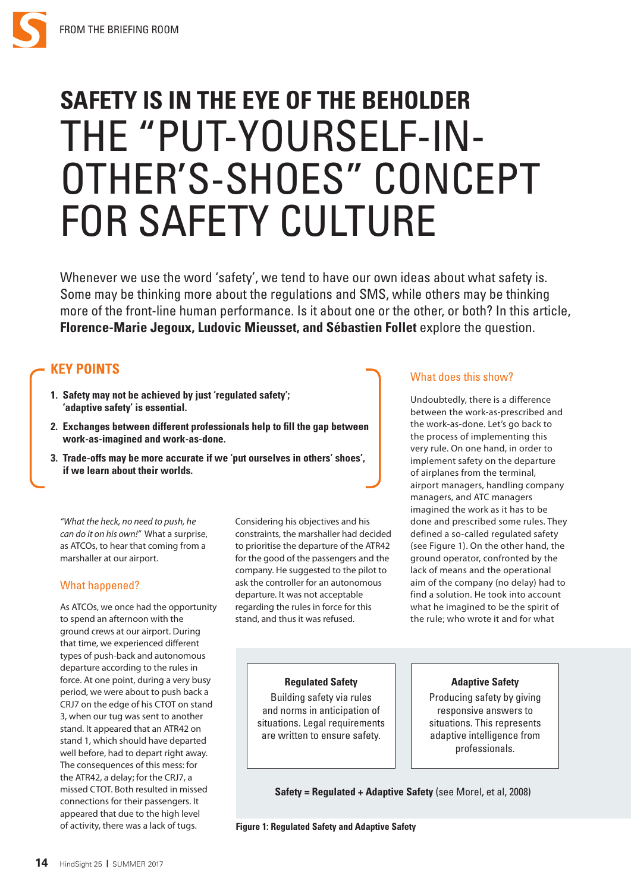

# **SAFETY IS IN THE EYE OF THE BEHOLDER** THE "PUT-YOURSELF-IN-OTHER'S-SHOES" CONCEPT FOR SAFETY CULTURE

Whenever we use the word 'safety', we tend to have our own ideas about what safety is. Some may be thinking more about the regulations and SMS, while others may be thinking more of the front-line human performance. Is it about one or the other, or both? In this article, **Florence-Marie Jegoux, Ludovic Mieusset, and Sébastien Follet** explore the question.

# **KEY POINTS**

- **1. Safety may not be achieved by just 'regulated safety'; 'adaptive safety' is essential.**
- **2. Exchanges between different professionals help to fill the gap between work-as-imagined and work-as-done.**
- **3. Trade-offs may be more accurate if we 'put ourselves in others' shoes', if we learn about their worlds.**

# What does this show?

Undoubtedly, there is a difference between the work-as-prescribed and the work-as-done. Let's go back to the process of implementing this very rule. On one hand, in order to implement safety on the departure of airplanes from the terminal, airport managers, handling company managers, and ATC managers imagined the work as it has to be done and prescribed some rules. They defined a so-called regulated safety (see Figure 1). On the other hand, the ground operator, confronted by the lack of means and the operational aim of the company (no delay) had to find a solution. He took into account what he imagined to be the spirit of the rule; who wrote it and for what

#### *"What the heck, no need to push, he can do it on his own!"* What a surprise, as ATCOs, to hear that coming from a marshaller at our airport.

## What happened?

As ATCOs, we once had the opportunity to spend an afternoon with the ground crews at our airport. During that time, we experienced different types of push-back and autonomous departure according to the rules in force. At one point, during a very busy period, we were about to push back a CRJ7 on the edge of his CTOT on stand 3, when our tug was sent to another stand. It appeared that an ATR42 on stand 1, which should have departed well before, had to depart right away. The consequences of this mess: for the ATR42, a delay; for the CRJ7, a missed CTOT. Both resulted in missed connections for their passengers. It appeared that due to the high level of activity, there was a lack of tugs.

Considering his objectives and his constraints, the marshaller had decided to prioritise the departure of the ATR42 for the good of the passengers and the company. He suggested to the pilot to ask the controller for an autonomous departure. It was not acceptable regarding the rules in force for this stand, and thus it was refused.

## **Regulated Safety**

Building safety via rules and norms in anticipation of situations. Legal requirements are written to ensure safety.

#### **Adaptive Safety**

Producing safety by giving responsive answers to situations. This represents adaptive intelligence from professionals.

**Safety = Regulated + Adaptive Safety** (see Morel, et al, 2008)

**Figure 1: Regulated Safety and Adaptive Safety**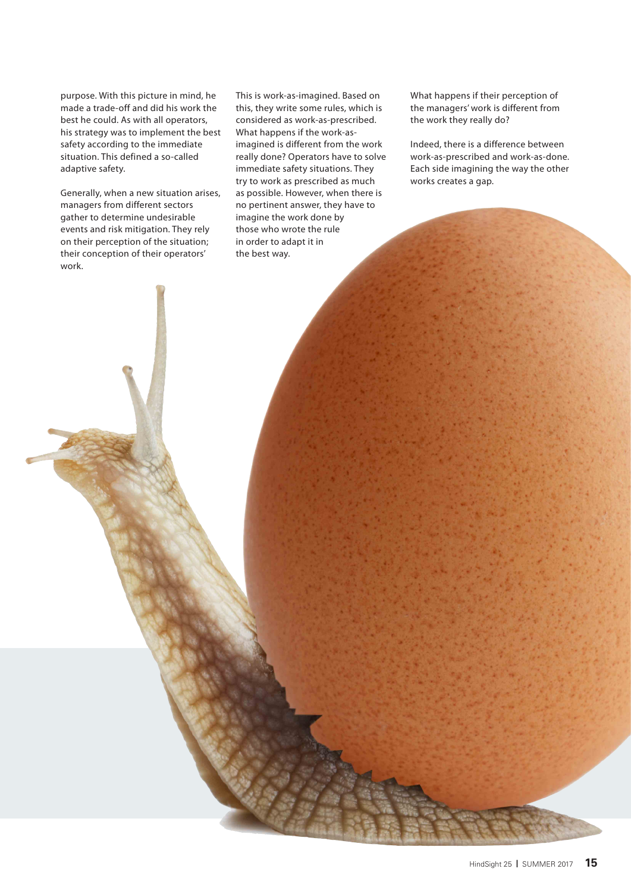purpose. With this picture in mind, he made a trade-off and did his work the best he could. As with all operators, his strategy was to implement the best safety according to the immediate situation. This defined a so-called adaptive safety.

Generally, when a new situation arises, managers from different sectors gather to determine undesirable events and risk mitigation. They rely on their perception of the situation; their conception of their operators' work.

This is work-as-imagined. Based on this, they write some rules, which is considered as work-as-prescribed. What happens if the work-asimagined is different from the work really done? Operators have to solve immediate safety situations. They try to work as prescribed as much as possible. However, when there is no pertinent answer, they have to imagine the work done by those who wrote the rule in order to adapt it in the best way.

What happens if their perception of the managers' work is different from the work they really do?

Indeed, there is a difference between work-as-prescribed and work-as-done. Each side imagining the way the other works creates a gap.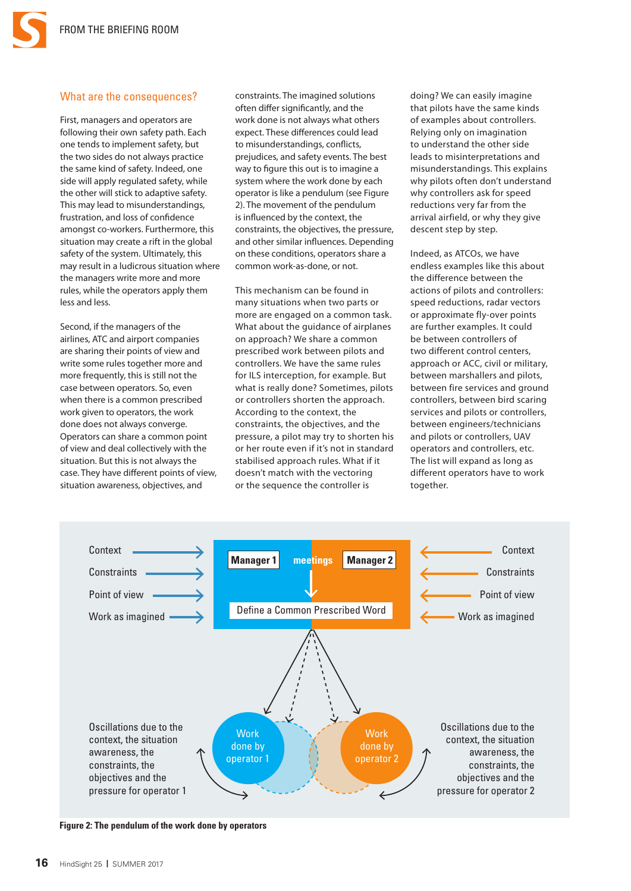#### What are the consequences?

First, managers and operators are following their own safety path. Each one tends to implement safety, but the two sides do not always practice the same kind of safety. Indeed, one side will apply regulated safety, while the other will stick to adaptive safety. This may lead to misunderstandings, frustration, and loss of confidence amongst co-workers. Furthermore, this situation may create a rift in the global safety of the system. Ultimately, this may result in a ludicrous situation where the managers write more and more rules, while the operators apply them less and less.

Second, if the managers of the airlines, ATC and airport companies are sharing their points of view and write some rules together more and more frequently, this is still not the case between operators. So, even when there is a common prescribed work given to operators, the work done does not always converge. Operators can share a common point of view and deal collectively with the situation. But this is not always the case. They have different points of view, situation awareness, objectives, and

constraints. The imagined solutions often differ significantly, and the work done is not always what others expect. These differences could lead to misunderstandings, conflicts, prejudices, and safety events. The best way to figure this out is to imagine a system where the work done by each operator is like a pendulum (see Figure 2). The movement of the pendulum is influenced by the context, the constraints, the objectives, the pressure, and other similar influences. Depending on these conditions, operators share a common work-as-done, or not.

This mechanism can be found in many situations when two parts or more are engaged on a common task. What about the guidance of airplanes on approach? We share a common prescribed work between pilots and controllers. We have the same rules for ILS interception, for example. But what is really done? Sometimes, pilots or controllers shorten the approach. According to the context, the constraints, the objectives, and the pressure, a pilot may try to shorten his or her route even if it's not in standard stabilised approach rules. What if it doesn't match with the vectoring or the sequence the controller is

doing? We can easily imagine that pilots have the same kinds of examples about controllers. Relying only on imagination to understand the other side leads to misinterpretations and misunderstandings. This explains why pilots often don't understand why controllers ask for speed reductions very far from the arrival airfield, or why they give descent step by step.

Indeed, as ATCOs, we have endless examples like this about the difference between the actions of pilots and controllers: speed reductions, radar vectors or approximate fly-over points are further examples. It could be between controllers of two different control centers, approach or ACC, civil or military, between marshallers and pilots, between fire services and ground controllers, between bird scaring services and pilots or controllers, between engineers/technicians and pilots or controllers, UAV operators and controllers, etc. The list will expand as long as different operators have to work together.



**Figure 2: The pendulum of the work done by operators**